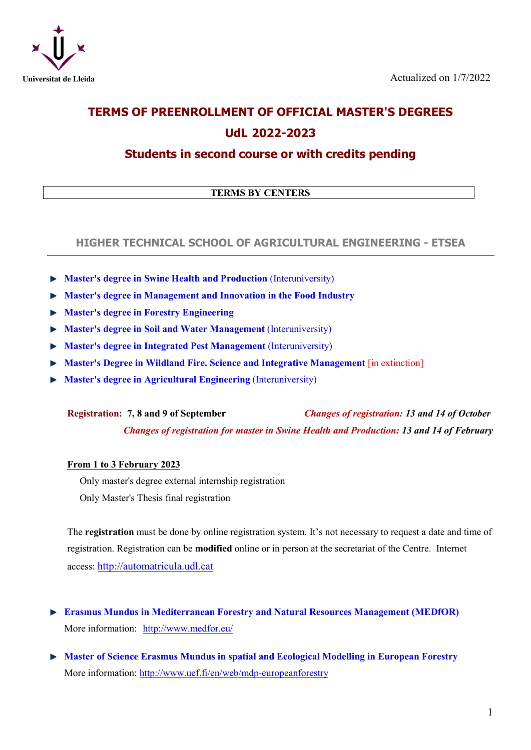

# **TERMS OF PREENROLLMENT OF OFFICIAL MASTER'S DEGREES UdL 2022-2023**

# **Students in second course or with credits pending**

## **TERMS BY CENTERS**

### **HIGHER TECHNICAL SCHOOL OF AGRICULTURAL ENGINEERING - ETSEA**

- **Master's degree in Swine Health and Production** (Interuniversity)
- **Master's degree in Management and Innovation in the Food Industry**
- **Master's degree in Forestry Engineering**
- **Master's degree in Soil and Water Management (Interuniversity)**
- **Master's degree in Integrated Pest Management** (Interuniversity)
- **Master's Degree in Wildland Fire. Science and Integrative Management** [in extinction]
- **Master's degree in Agricultural Engineering** (Interuniversity)

**Registration: 7, 8 and 9 of September** *Changes of registration: 13 and 14 of October Changes of registration for master in Swine Health and Production: 13 and 14 of February*

#### **From 1 to 3 February 2023**

Only master's degree external internship registration Only Master's Thesis final registration

The **registration** must be done by online registration system. It's not necessary to request a date and time of registration. Registration can be **modified** online or in person at the secretariat of the Centre. Internet access: [http://automatricula.udl.cat](http://automatricula.udl.cat/)

- **Erasmus Mundus in Mediterranean Forestry and Natural Resources Management (MEDfOR)** More information: <http://www.medfor.eu/>
- **Master of Science Erasmus Mundus in spatial and Ecological Modelling in European Forestry** More information:<http://www.uef.fi/en/web/mdp-europeanforestry>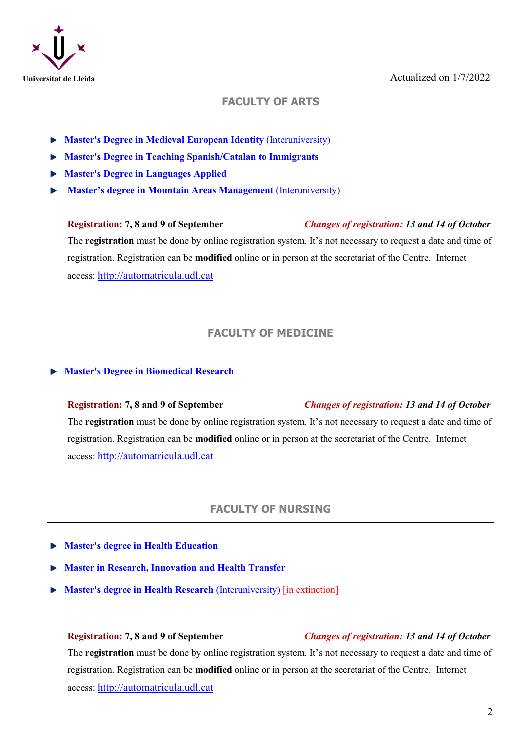

## **FACULTY OF ARTS**

- **Master's Degree in Medieval European Identity** (Interuniversity)
- **Master's Degree in Teaching Spanish/Catalan to Immigrants**
- **Master's Degree in Languages Applied**
- **Master's degree in Mountain Areas Management** (Interuniversity)

# **Registration: 7, 8 and 9 of September** *Changes of registration: 13 and 14 of October* The **registration** must be done by online registration system. It's not necessary to request a date and time of registration. Registration can be **modified** online or in person at the secretariat of the Centre. Internet access: [http://automatricula.udl.cat](http://automatricula.udl.cat/)

# **FACULTY OF MEDICINE**

#### **Master's Degree in Biomedical Research**

# **Registration: 7, 8 and 9 of September** *Changes of registration: 13 and 14 of October* The **registration** must be done by online registration system. It's not necessary to request a date and time of registration. Registration can be **modified** online or in person at the secretariat of the Centre. Internet access: [http://automatricula.udl.cat](http://automatricula.udl.cat/)

#### **FACULTY OF NURSING**

- **Master's degree in Health Education**
- **Master in Research, Innovation and Health Transfer**
- **Master's degree in Health Research** (Interuniversity) [in extinction]

#### **Registration: 7, 8 and 9 of September** *Changes of registration: 13 and 14 of October*

The **registration** must be done by online registration system. It's not necessary to request a date and time of registration. Registration can be **modified** online or in person at the secretariat of the Centre. Internet access: [http://automatricula.udl.cat](http://automatricula.udl.cat/)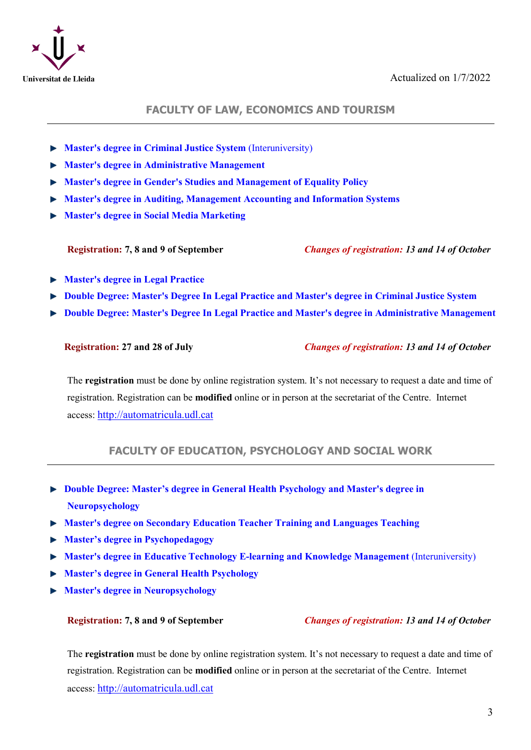

#### **FACULTY OF LAW, ECONOMICS AND TOURISM**

- **Master's degree in Criminal Justice System** (Interuniversity)
- **Master's degree in Administrative Management**
- **Master's degree in Gender's Studies and Management of Equality Policy**
- **Master's degree in Auditing, Management Accounting and Information Systems**
- **Master's degree in Social Media Marketing**

**Registration: 7, 8 and 9 of September** *Changes of registration: 13 and 14 of October*

- **Master's degree in Legal Practice**
- **Double Degree: Master's Degree In Legal Practice and Master's degree in Criminal Justice System**
- **Double Degree: Master's Degree In Legal Practice and Master's degree in Administrative Management**

**Registration: 27 and 28 of July** *Changes of registration: 13 and 14 of October*

The **registration** must be done by online registration system. It's not necessary to request a date and time of registration. Registration can be **modified** online or in person at the secretariat of the Centre. Internet access: [http://automatricula.udl.cat](http://automatricula.udl.cat/)

# **FACULTY OF EDUCATION, PSYCHOLOGY AND SOCIAL WORK**

- **Double Degree: Master's degree in General Health Psychology and Master's degree in Neuropsychology**
- **Master's degree on Secondary Education Teacher Training and Languages Teaching**
- **Master's degree in Psychopedagogy**
- **Master's degree in Educative Technology E-learning and Knowledge Management** (Interuniversity)
- **Master's degree in General Health Psychology**
- **Master's degree in Neuropsychology**

#### **Registration: 7, 8 and 9 of September** *Changes of registration: 13 and 14 of October*

The **registration** must be done by online registration system. It's not necessary to request a date and time of registration. Registration can be **modified** online or in person at the secretariat of the Centre. Internet access: [http://automatricula.udl.cat](http://automatricula.udl.cat/)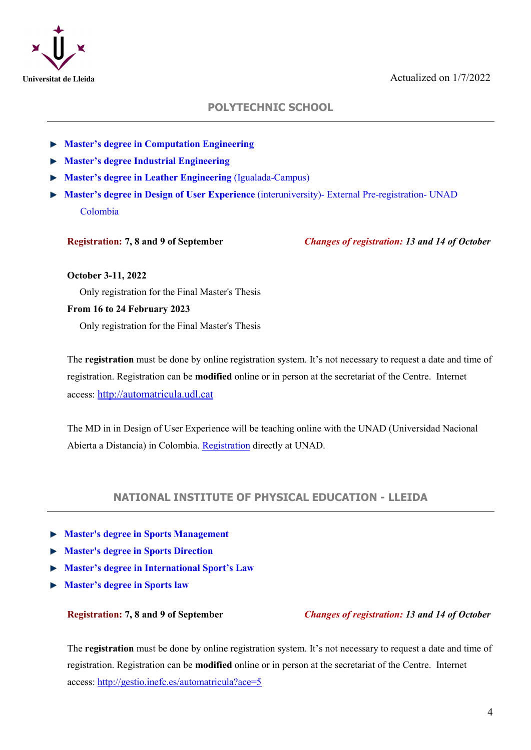

# **POLYTECHNIC SCHOOL**

- **Master's degree in Computation Engineering**
- **Master's degree Industrial Engineering**
- **Master's degree in Leather Engineering** (Igualada-Campus)
- **Master's degree in Design of User Experience** (interuniversity)- External Pre-registration- UNAD Colombia

**Registration: 7, 8 and 9 of September** *Changes of registration: 13 and 14 of October*

#### **October 3-11, 2022**

Only registration for the Final Master's Thesis

#### **From 16 to 24 February 2023**

Only registration for the Final Master's Thesis

The **registration** must be done by online registration system. It's not necessary to request a date and time of registration. Registration can be **modified** online or in person at the secretariat of the Centre. Internet access: [http://automatricula.udl.cat](http://automatricula.udl.cat/)

The MD in in Design of User Experience will be teaching online with the UNAD (Universidad Nacional Abierta a Distancia) in Colombia. [Registration](https://estudios.unad.edu.co/inscripciones-y-matriculas) directly at UNAD.

### **NATIONAL INSTITUTE OF PHYSICAL EDUCATION - LLEIDA**

- **Master's degree in Sports Management**
- **Master's degree in Sports Direction**
- **Master's degree in International Sport's Law**
- **Master's degree in Sports law**

**Registration: 7, 8 and 9 of September** *Changes of registration: 13 and 14 of October*

The **registration** must be done by online registration system. It's not necessary to request a date and time of registration. Registration can be **modified** online or in person at the secretariat of the Centre. Internet access:<http://gestio.inefc.es/automatricula?ace=5>